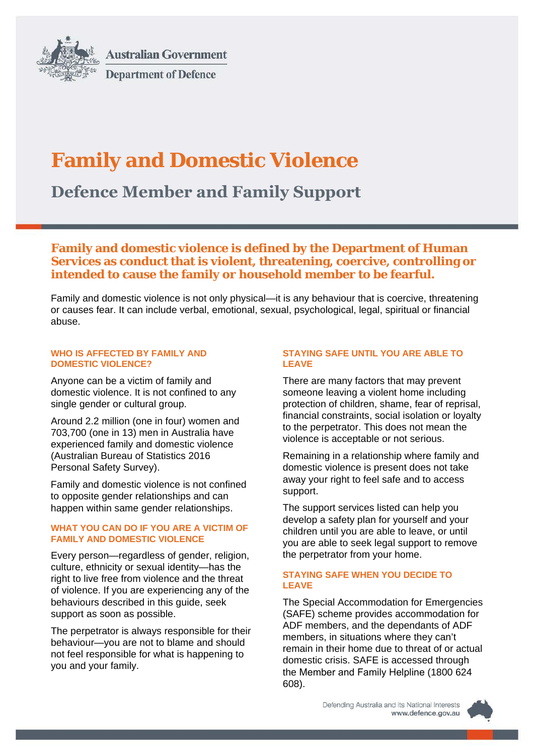

**Australian Government Department of Defence** 

# **Family and Domestic Violence**

**Defence Member and Family Support**

## **Family and domestic violence is defined by the Department of Human Services as conduct that is violent, threatening, coercive, controlling or intended to cause the family or household member to be fearful.**

Family and domestic violence is not only physical—it is any behaviour that is coercive, threatening or causes fear. It can include verbal, emotional, sexual, psychological, legal, spiritual or financial abuse.

#### **WHO IS AFFECTED BY FAMILY AND DOMESTIC VIOLENCE?**

Anyone can be a victim of family and domestic violence. It is not confined to any single gender or cultural group.

Around 2.2 million (one in four) women and 703,700 (one in 13) men in Australia have experienced family and domestic violence (Australian Bureau of Statistics 2016 Personal Safety Survey).

Family and domestic violence is not confined to opposite gender relationships and can happen within same gender relationships.

## **WHAT YOU CAN DO IF YOU ARE A VICTIM OF FAMILY AND DOMESTIC VIOLENCE**

Every person—regardless of gender, religion, culture, ethnicity or sexual identity—has the right to live free from violence and the threat of violence. If you are experiencing any of the behaviours described in this guide, seek support as soon as possible.

The perpetrator is always responsible for their behaviour—you are not to blame and should not feel responsible for what is happening to you and your family.

## **STAYING SAFE UNTIL YOU ARE ABLE TO LEAVE**

There are many factors that may prevent someone leaving a violent home including protection of children, shame, fear of reprisal, financial constraints, social isolation or loyalty to the perpetrator. This does not mean the violence is acceptable or not serious.

Remaining in a relationship where family and domestic violence is present does not take away your right to feel safe and to access support.

The support services listed can help you develop a safety plan for yourself and your children until you are able to leave, or until you are able to seek legal support to remove the perpetrator from your home.

## **STAYING SAFE WHEN YOU DECIDE TO LEAVE**

The Special Accommodation for Emergencies (SAFE) scheme provides accommodation for ADF members, and the dependants of ADF members, in situations where they can't remain in their home due to threat of or actual domestic crisis. SAFE is accessed through the Member and Family Helpline (1800 624 608).